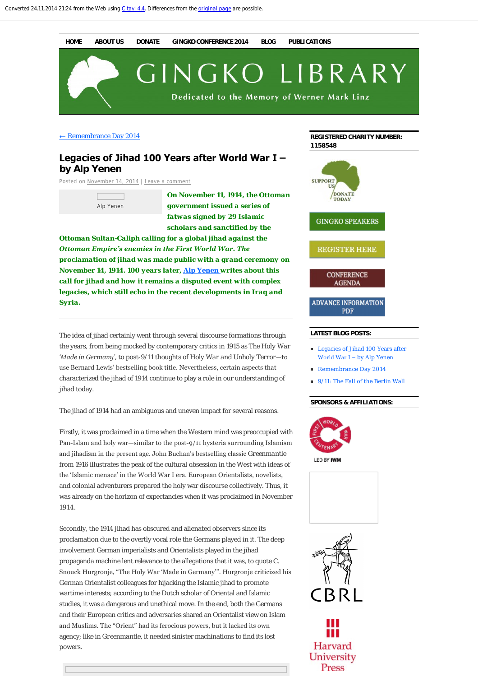**[HOME](http://thegingkolibrary.wordpress.com/) [ABOUT US](http://thegingkolibrary.wordpress.com/about/) [DONATE](http://thegingkolibrary.wordpress.com/donate/) [GINGKO CONFERENCE 2014](http://thegingkolibrary.wordpress.com/gingko-conference-2014/) [BLOG](http://thegingkolibrary.wordpress.com/blog/) [PUBLICATIONS](http://thegingkolibrary.wordpress.com/publications/)**

GINGKO LIBRARY

Dedicated to the Memory of Werner Mark Linz

 $\leftarrow$  [Remembrance Day 2014](http://thegingkolibrary.wordpress.com/2014/11/11/remembrance-day-2014/)

# **Legacies of Jihad 100 Years after World War I – by Alp Yenen**

Posted on [November 14, 2014](http://thegingkolibrary.wordpress.com/2014/11/14/legacies-of-jihad-100-years-after-world-war-i-by-alp-yenen/) | [Leave a comment](#page-2-0)

Alp Yenen

*On November 11, 1914, the Ottoman government issued a series of fatwas signed by 29 Islamic scholars and sanctified by the*

*Ottoman Sultan-Caliph calling for a global jihad against the Ottoman Empire's enemies in the First World War. The proclamation of jihad was made public with a grand ceremony on November 14, 1914. 100 years later, [Alp Yenen](http://thegingkolibrary.wordpress.com/gingko-conference-2014/speakers/j-z/alp-yenen/) writes about this call for jihad and how it remains a disputed event with complex legacies, which still echo in the recent developments in Iraq and Syria.* 

The idea of jihad certainly went through several discourse formations through the years, from being mocked by contemporary critics in 1915 as *The Holy War 'Made in Germany'*, to post-9/11 thoughts of *Holy War and Unholy Terror*—to use Bernard Lewis' bestselling book title. Nevertheless, certain aspects that characterized the jihad of 1914 continue to play a role in our understanding of jihad today.

The jihad of 1914 had an ambiguous and uneven impact for several reasons.

Firstly, it was proclaimed in a time when the Western mind was preoccupied with Pan-Islam and holy war—similar to the post-9/11 hysteria surrounding Islamism and jihadism in the present age. John Buchan's bestselling classic *Greenmantle* from 1916 illustrates the peak of the cultural obsession in the West with ideas of the 'Islamic menace' in the World War I era. European Orientalists, novelists, and colonial adventurers prepared the holy war discourse collectively. Thus, it was already on the horizon of expectancies when it was proclaimed in November 1914.

Secondly, the 1914 jihad has obscured and alienated observers since its proclamation due to the overtly vocal role the Germans played in it. The deep involvement German imperialists and Orientalists played in the jihad propaganda machine lent relevance to the allegations that it was, to quote C. Snouck Hurgronje, "The Holy War 'Made in Germany'". Hurgronje criticized his German Orientalist colleagues for hijacking the Islamic jihad to promote wartime interests; according to the Dutch scholar of Oriental and Islamic studies, it was a dangerous and unethical move. In the end, both the Germans and their European critics and adversaries shared an Orientalist view on Islam and Muslims. The "Orient" had its ferocious powers, but it lacked its own agency; like in *Greenmantle*, it needed sinister machinations to find its lost powers.



### **LATEST BLOG POSTS:**

- [Legacies of Jihad 100 Years after](http://thegingkolibrary.wordpress.com/2014/11/14/legacies-of-jihad-100-years-after-world-war-i-by-alp-yenen/) World War I – by Alp Yenen
- [Remembrance Day 2014](http://thegingkolibrary.wordpress.com/2014/11/11/remembrance-day-2014/)
- [9/11: The Fall of the Berlin Wall](http://thegingkolibrary.wordpress.com/2014/11/09/911-the-fall-of-the-berlin-wall/)

#### **SPONSORS & AFFILIATIONS:**



LED BY IWN



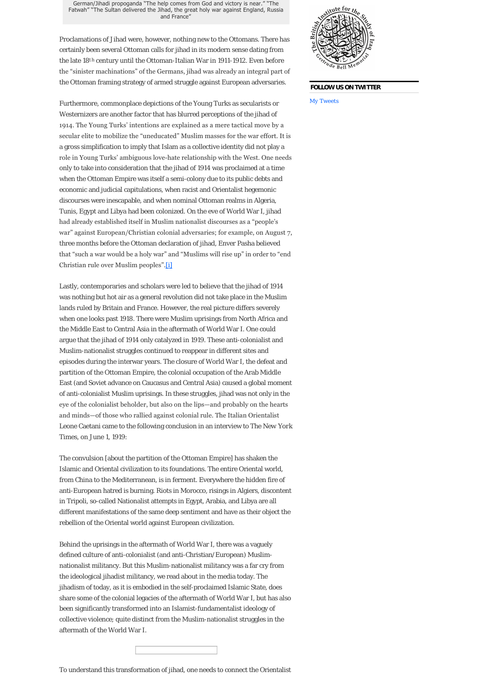German/Jihadi propoganda "The help comes from God and victory is near." "The Fatwah" "The Sultan delivered the Jihad, the great holy war against England, Russia and France"

Proclamations of Jihad were, however, nothing new to the Ottomans. There has certainly been several Ottoman calls for jihad in its modern sense dating from the late 18<sup>th</sup> century until the Ottoman-Italian War in 1911-1912. Even before the "sinister machinations" of the Germans, jihad was already an integral part of the Ottoman framing strategy of armed struggle against European adversaries.

Furthermore, commonplace depictions of the Young Turks as secularists or Westernizers are another factor that has blurred perceptions of the jihad of 1914. The Young Turks' intentions are explained as a mere tactical move by a secular elite to mobilize the "uneducated" Muslim masses for the war effort. It is a gross simplification to imply that Islam as a collective identity did not play a role in Young Turks' ambiguous love-hate relationship with the West. One needs only to take into consideration that the jihad of 1914 was proclaimed at a time when the Ottoman Empire was itself a semi-colony due to its public debts and economic and judicial capitulations, when racist and Orientalist hegemonic discourses were inescapable, and when nominal Ottoman realms in Algeria, Tunis, Egypt and Libya had been colonized. On the eve of World War I, jihad had already established itself in Muslim nationalist discourses as a "people's war" against European/Christian colonial adversaries; for example, on August 7, three months before the Ottoman declaration of jihad, Enver Pasha believed that "such a war would be a holy war" and "Muslims will rise up" in order to "end Christian rule over Muslim peoples".[\[i\]](#page-2-1)

<span id="page-1-0"></span>Lastly, contemporaries and scholars were led to believe that the jihad of 1914 was nothing but hot air as a general revolution did not take place in the Muslim lands ruled by Britain and France. However, the real picture differs severely when one looks past 1918. There were Muslim uprisings from North Africa and the Middle East to Central Asia in the aftermath of World War I. One could argue that the jihad of 1914 only catalyzed in 1919. These anti-colonialist and Muslim-nationalist struggles continued to reappear in different sites and episodes during the interwar years. The closure of World War I, the defeat and partition of the Ottoman Empire, the colonial occupation of the Arab Middle East (and Soviet advance on Caucasus and Central Asia) caused a global moment of anti-colonialist Muslim uprisings. In these struggles, jihad was not only in the eye of the colonialist beholder, but also on the lips—and probably on the hearts and minds—of those who rallied against colonial rule. The Italian Orientalist Leone Caetani came to the following conclusion in an interview to *The New York Times*, on June 1, 1919:

The convulsion [about the partition of the Ottoman Empire] has shaken the Islamic and Oriental civilization to its foundations. The entire Oriental world, from China to the Mediterranean, is in ferment. Everywhere the hidden fire of anti-European hatred is burning. Riots in Morocco, risings in Algiers, discontent in Tripoli, so-called Nationalist attempts in Egypt, Arabia, and Libya are all different manifestations of the same deep sentiment and have as their object the rebellion of the Oriental world against European civilization.

Behind the uprisings in the aftermath of World War I, there was a vaguely defined culture of anti-colonialist (and anti-Christian/European) Muslimnationalist militancy. But this Muslim-nationalist militancy was a far cry from the ideological jihadist militancy, we read about in the media today. The jihadism of today, as it is embodied in the self-proclaimed Islamic State, does share some of the colonial legacies of the aftermath of World War I, but has also been significantly transformed into an Islamist-fundamentalist ideology of collective violence; quite distinct from the Muslim-nationalist struggles in the aftermath of the World War I.





#### **FOLLOW US ON TWITTER**

My Tweets

To understand this transformation of jihad, one needs to connect the Orientalist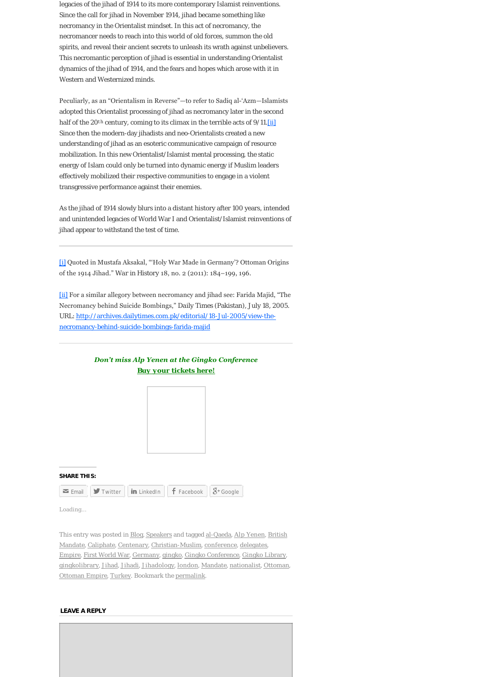legacies of the jihad of 1914 to its more contemporary Islamist reinventions. Since the call for jihad in November 1914, jihad became something like necromancy in the Orientalist mindset. In this act of necromancy, the necromancer needs to reach into this world of old forces, summon the old spirits, and reveal their ancient secrets to unleash its wrath against unbelievers. This necromantic perception of jihad is essential in understanding Orientalist dynamics of the jihad of 1914, and the fears and hopes which arose with it in Western and Westernized minds.

Peculiarly, as an "Orientalism in Reverse"—to refer to Sadiq al'Azm—Islamists adopted this Orientalist processing of jihad as necromancy later in the second half of the 20<sup>th</sup> century, coming to its climax in the terrible acts of 9/11.*[\[ii\]](#page-2-2)* Since then the modern-day jihadists and neo-Orientalists created a new understanding of jihad as an esoteric communicative campaign of resource mobilization. In this new Orientalist/Islamist mental processing, the static energy of Islam could only be turned into dynamic energy if Muslim leaders effectively mobilized their respective communities to engage in a violent transgressive performance against their enemies.

As the jihad of 1914 slowly blurs into a distant history after 100 years, intended and unintended legacies of World War I and Orientalist/Islamist reinventions of jihad appear to withstand the test of time.

<span id="page-2-1"></span>[\[i\]](#page-1-0) Quoted in Mustafa Aksakal, "'Holy War Made in Germany'? Ottoman Origins of the 1914 Jihad." *War in History* 18, no. 2 (2011): 184–199, 196.

<span id="page-2-2"></span>[\[ii\]](#page-1-0) For a similar allegory between necromancy and jihad see: Farida Majid, "The Necromancy behind Suicide Bombings," *Daily Times* (Pakistan), July 18, 2005. [URL: http://archives.dailytimes.com.pk/editorial/18-Jul-2005/view-the](http://archives.dailytimes.com.pk/editorial/18-Jul-2005/view-the-necromancy-behind-suicide-bombings-farida-majid)necromancy-behind-suicide-bombings-farida-majid

## *Don't miss Alp Yenen at the Gingko Conference [Buy your tickets here!](http://thegingkolibrary.wordpress.com/gingko-conference-2014/registration/)*



**SHARE THIS:**

|  |  |  | $\vert \bullet \vert$ Email $\vert \vert \bullet \vert$ Twitter $\vert \vert$ in LinkedIn $\vert \vert$ f Facebook $\vert \vert$ $\mathcal{S}$ + Google |  |
|--|--|--|---------------------------------------------------------------------------------------------------------------------------------------------------------|--|
|--|--|--|---------------------------------------------------------------------------------------------------------------------------------------------------------|--|

Loading...

[This entry was posted in Blog, Speakers and tagged al-Qaeda, Alp Yenen, British](http://thegingkolibrary.wordpress.com/tag/british-mandate/) Mandate, [Caliphate,](http://thegingkolibrary.wordpress.com/tag/caliphate/) [Centenary](http://thegingkolibrary.wordpress.com/tag/centenary/), [Christian-Muslim](http://thegingkolibrary.wordpress.com/tag/christian-muslim/), [conference,](http://thegingkolibrary.wordpress.com/tag/conference/) [delegates](http://thegingkolibrary.wordpress.com/tag/delegates/), [Empire,](http://thegingkolibrary.wordpress.com/tag/empire/) [First World War,](http://thegingkolibrary.wordpress.com/tag/first-world-war/) [Germany](http://thegingkolibrary.wordpress.com/tag/germany/), [gingko](http://thegingkolibrary.wordpress.com/tag/gingko/), [Gingko Conference,](http://thegingkolibrary.wordpress.com/tag/gingko-conference/) [Gingko Library,](http://thegingkolibrary.wordpress.com/tag/gingko-library/) [gingkolibrary,](http://thegingkolibrary.wordpress.com/tag/gingkolibrary/) [Jihad](http://thegingkolibrary.wordpress.com/tag/jihad/), [Jihadi,](http://thegingkolibrary.wordpress.com/tag/jihadi/) [Jihadology,](http://thegingkolibrary.wordpress.com/tag/jihadology/) [london](http://thegingkolibrary.wordpress.com/tag/london/), [Mandate,](http://thegingkolibrary.wordpress.com/tag/mandate/) [nationalist](http://thegingkolibrary.wordpress.com/tag/nationalist/), [Ottoman,](http://thegingkolibrary.wordpress.com/tag/ottoman/) [Ottoman Empire](http://thegingkolibrary.wordpress.com/tag/ottoman-empire/), [Turkey.](http://thegingkolibrary.wordpress.com/tag/turkey/) Bookmark the [permalink](http://thegingkolibrary.wordpress.com/2014/11/14/legacies-of-jihad-100-years-after-world-war-i-by-alp-yenen/).

#### <span id="page-2-0"></span>**LEAVE A REPLY**